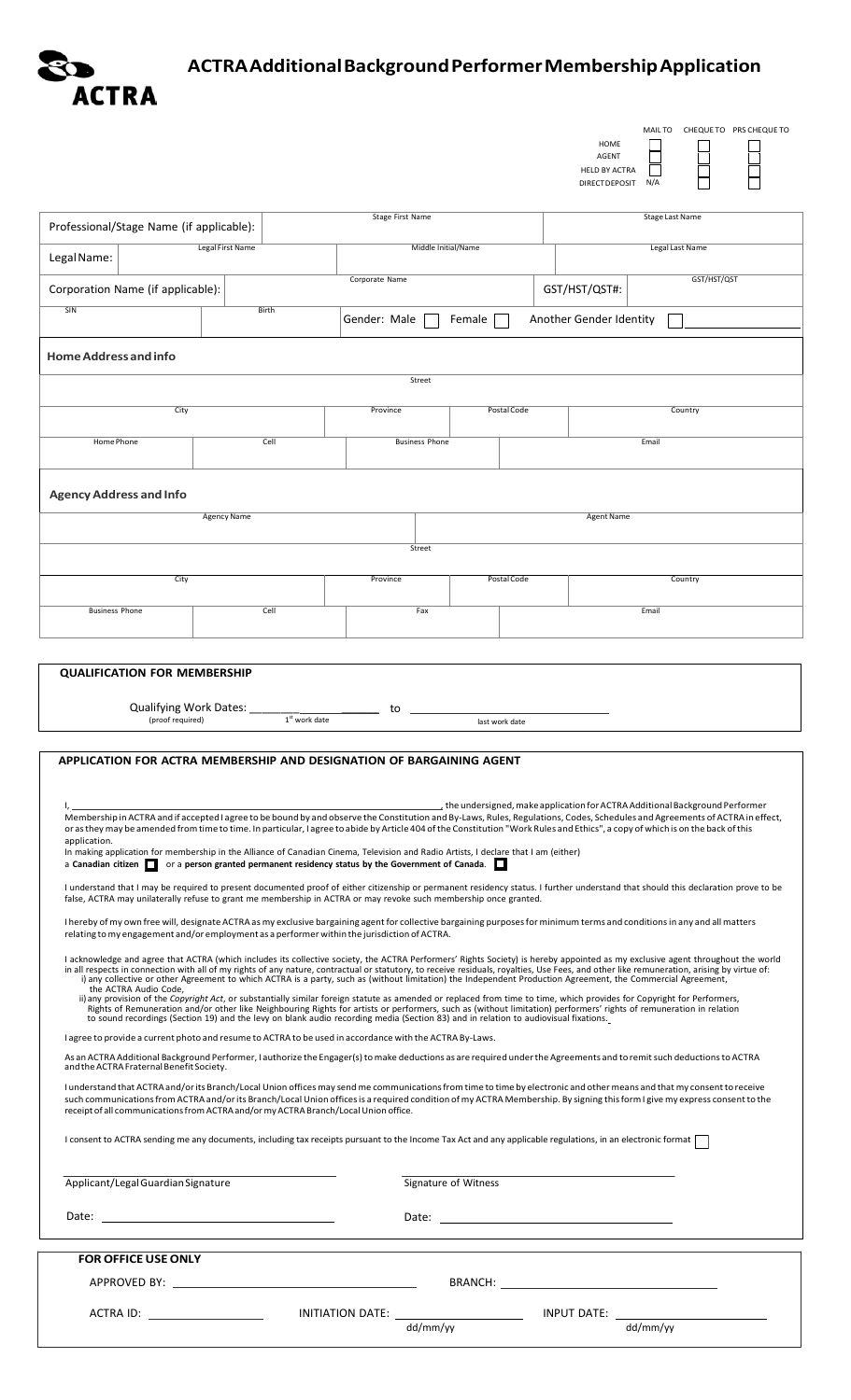

## **ACTRAAdditionalBackgroundPerformerMembershipApplication**

|                                                                                                                                                                                                                                                                                                                                                                                                                                                                                                                                                                                                                                         |                  |                                                                                                                                                                                                                                |                      | MAIL TO CHEQUE TO PRS CHEQUE TO<br>HOME<br><b>AGENT</b>                                                                                                                                                                       |
|-----------------------------------------------------------------------------------------------------------------------------------------------------------------------------------------------------------------------------------------------------------------------------------------------------------------------------------------------------------------------------------------------------------------------------------------------------------------------------------------------------------------------------------------------------------------------------------------------------------------------------------------|------------------|--------------------------------------------------------------------------------------------------------------------------------------------------------------------------------------------------------------------------------|----------------------|-------------------------------------------------------------------------------------------------------------------------------------------------------------------------------------------------------------------------------|
|                                                                                                                                                                                                                                                                                                                                                                                                                                                                                                                                                                                                                                         |                  |                                                                                                                                                                                                                                |                      | <b>HELD BY ACTRA</b><br>DIRECTDEPOSIT<br>N/A                                                                                                                                                                                  |
|                                                                                                                                                                                                                                                                                                                                                                                                                                                                                                                                                                                                                                         |                  | Stage First Name                                                                                                                                                                                                               |                      | <b>Stage Last Name</b>                                                                                                                                                                                                        |
| Professional/Stage Name (if applicable):                                                                                                                                                                                                                                                                                                                                                                                                                                                                                                                                                                                                |                  |                                                                                                                                                                                                                                |                      |                                                                                                                                                                                                                               |
| Legal Name:                                                                                                                                                                                                                                                                                                                                                                                                                                                                                                                                                                                                                             | Legal First Name |                                                                                                                                                                                                                                | Middle Initial/Name  | Legal Last Name                                                                                                                                                                                                               |
| Corporation Name (if applicable):                                                                                                                                                                                                                                                                                                                                                                                                                                                                                                                                                                                                       |                  | Corporate Name                                                                                                                                                                                                                 |                      | GST/HST/QST<br>GST/HST/QST#:                                                                                                                                                                                                  |
| SIN                                                                                                                                                                                                                                                                                                                                                                                                                                                                                                                                                                                                                                     | Birth            | Gender: Male                                                                                                                                                                                                                   | Female               | Another Gender Identity                                                                                                                                                                                                       |
| <b>Home Address and info</b>                                                                                                                                                                                                                                                                                                                                                                                                                                                                                                                                                                                                            |                  |                                                                                                                                                                                                                                |                      |                                                                                                                                                                                                                               |
| Street                                                                                                                                                                                                                                                                                                                                                                                                                                                                                                                                                                                                                                  |                  |                                                                                                                                                                                                                                |                      |                                                                                                                                                                                                                               |
| City                                                                                                                                                                                                                                                                                                                                                                                                                                                                                                                                                                                                                                    |                  | Province                                                                                                                                                                                                                       | Postal Code          | Country                                                                                                                                                                                                                       |
| Home Phone                                                                                                                                                                                                                                                                                                                                                                                                                                                                                                                                                                                                                              | Cell             | <b>Business Phone</b>                                                                                                                                                                                                          |                      | Email                                                                                                                                                                                                                         |
| <b>Agency Address and Info</b>                                                                                                                                                                                                                                                                                                                                                                                                                                                                                                                                                                                                          |                  |                                                                                                                                                                                                                                |                      |                                                                                                                                                                                                                               |
| <b>Agency Name</b>                                                                                                                                                                                                                                                                                                                                                                                                                                                                                                                                                                                                                      |                  |                                                                                                                                                                                                                                | <b>Agent Name</b>    |                                                                                                                                                                                                                               |
|                                                                                                                                                                                                                                                                                                                                                                                                                                                                                                                                                                                                                                         |                  | Street                                                                                                                                                                                                                         |                      |                                                                                                                                                                                                                               |
| City                                                                                                                                                                                                                                                                                                                                                                                                                                                                                                                                                                                                                                    |                  | Province                                                                                                                                                                                                                       | Postal Code          | Country                                                                                                                                                                                                                       |
| <b>Business Phone</b>                                                                                                                                                                                                                                                                                                                                                                                                                                                                                                                                                                                                                   | Cell             | Fax                                                                                                                                                                                                                            |                      | Email                                                                                                                                                                                                                         |
|                                                                                                                                                                                                                                                                                                                                                                                                                                                                                                                                                                                                                                         |                  |                                                                                                                                                                                                                                |                      |                                                                                                                                                                                                                               |
| <b>QUALIFICATION FOR MEMBERSHIP</b>                                                                                                                                                                                                                                                                                                                                                                                                                                                                                                                                                                                                     |                  |                                                                                                                                                                                                                                |                      |                                                                                                                                                                                                                               |
| Qualifying Work Dates:                                                                                                                                                                                                                                                                                                                                                                                                                                                                                                                                                                                                                  |                  | to                                                                                                                                                                                                                             |                      |                                                                                                                                                                                                                               |
| (proof required)                                                                                                                                                                                                                                                                                                                                                                                                                                                                                                                                                                                                                        |                  | $1st$ work date                                                                                                                                                                                                                | last work date       |                                                                                                                                                                                                                               |
| APPLICATION FOR ACTRA MEMBERSHIP AND DESIGNATION OF BARGAINING AGENT                                                                                                                                                                                                                                                                                                                                                                                                                                                                                                                                                                    |                  |                                                                                                                                                                                                                                |                      |                                                                                                                                                                                                                               |
|                                                                                                                                                                                                                                                                                                                                                                                                                                                                                                                                                                                                                                         |                  |                                                                                                                                                                                                                                |                      |                                                                                                                                                                                                                               |
| the undersigned, make application for ACTRA Additional Background Performer _________________________________<br>Membership in ACTRA and if accepted I agree to be bound by and observe the Constitution and By-Laws, Rules, Regulations, Codes, Schedules and Agreements of ACTRA in effect,<br>or as they may be amended from time to time. In particular, I agree to abide by Article 404 of the Constitution "Work Rules and Ethics", a copy of which is on the back of this<br>application.<br>In making application for membership in the Alliance of Canadian Cinema, Television and Radio Artists, I declare that I am (either) |                  |                                                                                                                                                                                                                                |                      |                                                                                                                                                                                                                               |
| a Canadian citizen $\Box$ or a person granted permanent residency status by the Government of Canada. $\Box$                                                                                                                                                                                                                                                                                                                                                                                                                                                                                                                            |                  |                                                                                                                                                                                                                                |                      |                                                                                                                                                                                                                               |
| I understand that I may be required to present documented proof of either citizenship or permanent residency status. I further understand that should this declaration prove to be<br>false, ACTRA may unilaterally refuse to grant me membership in ACTRA or may revoke such membership once granted.                                                                                                                                                                                                                                                                                                                                  |                  |                                                                                                                                                                                                                                |                      |                                                                                                                                                                                                                               |
| I hereby of my own free will, designate ACTRA as my exclusive bargaining agent for collective bargaining purposes for minimum terms and conditions in any and all matters<br>relating to my engagement and/or employment as a performer within the jurisdiction of ACTRA.                                                                                                                                                                                                                                                                                                                                                               |                  |                                                                                                                                                                                                                                |                      |                                                                                                                                                                                                                               |
| I acknowledge and agree that ACTRA (which includes its collective society, the ACTRA Performers' Rights Society) is hereby appointed as my exclusive agent throughout the world<br>in all respects in connection with all of my rights of any nature, contractual or statutory, to receive residuals, royalties, Use Fees, and other like remuneration, arising by virtue of:                                                                                                                                                                                                                                                           |                  |                                                                                                                                                                                                                                |                      |                                                                                                                                                                                                                               |
| i) any collective or other Agreement to which ACTRA is a party, such as (without limitation) the Independent Production Agreement, the Commercial Agreement,<br>the ACTRA Audio Code,<br>ii) any provision of the Copyright Act, or substantially similar foreign statute as amended or replaced from time to time, which provides for Copyright for Performers,                                                                                                                                                                                                                                                                        |                  |                                                                                                                                                                                                                                |                      |                                                                                                                                                                                                                               |
| Rights of Remuneration and/or other like Neighbouring Rights for artists or performers, such as (without limitation) performers' rights of remuneration in relation<br>to sound recordings (Section 19) and the levy on blank audio recording media (Section 83) and in relation to audiovisual fixations.                                                                                                                                                                                                                                                                                                                              |                  |                                                                                                                                                                                                                                |                      |                                                                                                                                                                                                                               |
| I agree to provide a current photo and resume to ACTRA to be used in accordance with the ACTRA By-Laws.<br>As an ACTRA Additional Background Performer, I authorize the Engager(s) to make deductions as are required under the Agreements and to remit such deductions to ACTRA<br>and the ACTRA Fraternal Benefit Society.                                                                                                                                                                                                                                                                                                            |                  |                                                                                                                                                                                                                                |                      |                                                                                                                                                                                                                               |
| I understand that ACTRA and/or its Branch/Local Union offices may send me communications from time to time by electronic and other means and that my consent to receive<br>such communications from ACTRA and/or its Branch/Local Union offices is a required condition of my ACTRA Membership. By signing this form I give my express consent to the                                                                                                                                                                                                                                                                                   |                  |                                                                                                                                                                                                                                |                      |                                                                                                                                                                                                                               |
| receipt of all communications from ACTRA and/or my ACTRA Branch/Local Union office.<br>I consent to ACTRA sending me any documents, including tax receipts pursuant to the Income Tax Act and any applicable regulations, in an electronic format                                                                                                                                                                                                                                                                                                                                                                                       |                  |                                                                                                                                                                                                                                |                      |                                                                                                                                                                                                                               |
|                                                                                                                                                                                                                                                                                                                                                                                                                                                                                                                                                                                                                                         |                  |                                                                                                                                                                                                                                |                      |                                                                                                                                                                                                                               |
| Applicant/Legal Guardian Signature                                                                                                                                                                                                                                                                                                                                                                                                                                                                                                                                                                                                      |                  |                                                                                                                                                                                                                                | Signature of Witness |                                                                                                                                                                                                                               |
| Date: The contract of the contract of the contract of the contract of the contract of the contract of the contract of the contract of the contract of the contract of the contract of the contract of the contract of the cont                                                                                                                                                                                                                                                                                                                                                                                                          |                  |                                                                                                                                                                                                                                |                      | Date: Note: Note: Note: Note: Note: Note: Note: Note: Note: Note: Note: Note: Note: Note: Note: Note: Note: Note: Note: Note: Note: Note: Note: Note: Note: Note: Note: Note: Note: Note: Note: Note: Note: Note: Note: Note: |
| <b>FOR OFFICE USE ONLY</b>                                                                                                                                                                                                                                                                                                                                                                                                                                                                                                                                                                                                              |                  |                                                                                                                                                                                                                                |                      |                                                                                                                                                                                                                               |
|                                                                                                                                                                                                                                                                                                                                                                                                                                                                                                                                                                                                                                         |                  | APPROVED BY: New York State State State State State State State State State State State State State State State State State State State State State State State State State State State State State State State State State St |                      |                                                                                                                                                                                                                               |
|                                                                                                                                                                                                                                                                                                                                                                                                                                                                                                                                                                                                                                         |                  |                                                                                                                                                                                                                                |                      |                                                                                                                                                                                                                               |
| dd/mm/yy<br>dd/mm/yy                                                                                                                                                                                                                                                                                                                                                                                                                                                                                                                                                                                                                    |                  |                                                                                                                                                                                                                                |                      |                                                                                                                                                                                                                               |